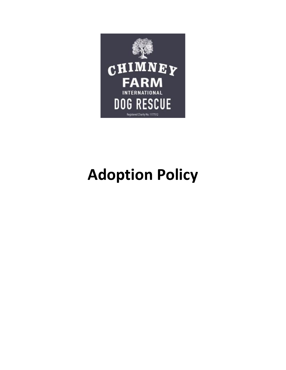

## **Adoption Policy**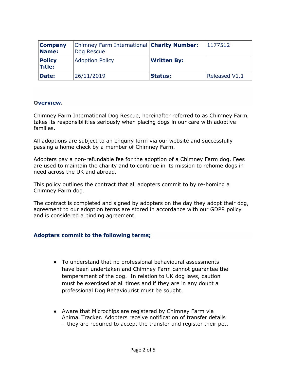| <b>Company</b><br>Name:        | Chimney Farm International <b>Charity Number:</b><br>Dog Rescue |                    | 1177512              |
|--------------------------------|-----------------------------------------------------------------|--------------------|----------------------|
| <b>Policy</b><br><b>Title:</b> | <b>Adoption Policy</b>                                          | <b>Written By:</b> |                      |
| Date:                          | 26/11/2019                                                      | <b>Status:</b>     | <b>Released V1.1</b> |

## **Overview.**

Chimney Farm International Dog Rescue, hereinafter referred to as Chimney Farm, takes its responsibilities seriously when placing dogs in our care with adoptive families.

All adoptions are subject to an enquiry form via our website and successfully passing a home check by a member of Chimney Farm.

Adopters pay a non-refundable fee for the adoption of a Chimney Farm dog. Fees are used to maintain the charity and to continue in its mission to rehome dogs in need across the UK and abroad.

This policy outlines the contract that all adopters commit to by re-homing a Chimney Farm dog.

The contract is completed and signed by adopters on the day they adopt their dog, agreement to our adoption terms are stored in accordance with our GDPR policy and is considered a binding agreement.

## **Adopters commit to the following terms;**

- To understand that no professional behavioural assessments have been undertaken and Chimney Farm cannot guarantee the temperament of the dog. In relation to UK dog laws, caution must be exercised at all times and if they are in any doubt a professional Dog Behaviourist must be sought.
- Aware that Microchips are registered by Chimney Farm via Animal Tracker. Adopters receive notification of transfer details – they are required to accept the transfer and register their pet.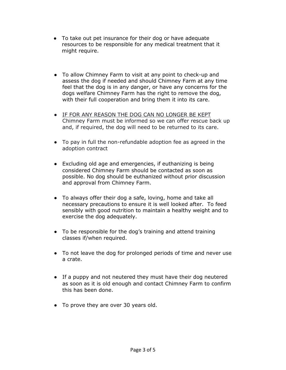- To take out pet insurance for their dog or have adequate resources to be responsible for any medical treatment that it might require.
- To allow Chimney Farm to visit at any point to check-up and assess the dog if needed and should Chimney Farm at any time feel that the dog is in any danger, or have any concerns for the dogs welfare Chimney Farm has the right to remove the dog, with their full cooperation and bring them it into its care.
- IF FOR ANY REASON THE DOG CAN NO LONGER BE KEPT Chimney Farm must be informed so we can offer rescue back up and, if required, the dog will need to be returned to its care.
- To pay in full the non-refundable adoption fee as agreed in the adoption contract
- Excluding old age and emergencies, if euthanizing is being considered Chimney Farm should be contacted as soon as possible. No dog should be euthanized without prior discussion and approval from Chimney Farm.
- To always offer their dog a safe, loving, home and take all necessary precautions to ensure it is well looked after. To feed sensibly with good nutrition to maintain a healthy weight and to exercise the dog adequately.
- To be responsible for the dog's training and attend training classes if/when required.
- To not leave the dog for prolonged periods of time and never use a crate.
- If a puppy and not neutered they must have their dog neutered as soon as it is old enough and contact Chimney Farm to confirm this has been done.
- To prove they are over 30 years old.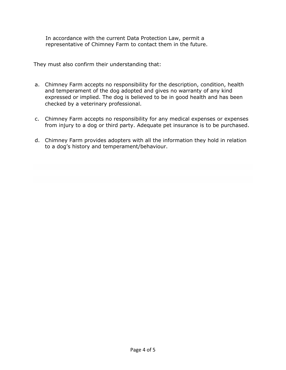In accordance with the current Data Protection Law, permit a representative of Chimney Farm to contact them in the future.

They must also confirm their understanding that:

- a. Chimney Farm accepts no responsibility for the description, condition, health and temperament of the dog adopted and gives no warranty of any kind expressed or implied. The dog is believed to be in good health and has been checked by a veterinary professional.
- c. Chimney Farm accepts no responsibility for any medical expenses or expenses from injury to a dog or third party. Adequate pet insurance is to be purchased.
- d. Chimney Farm provides adopters with all the information they hold in relation to a dog's history and temperament/behaviour.